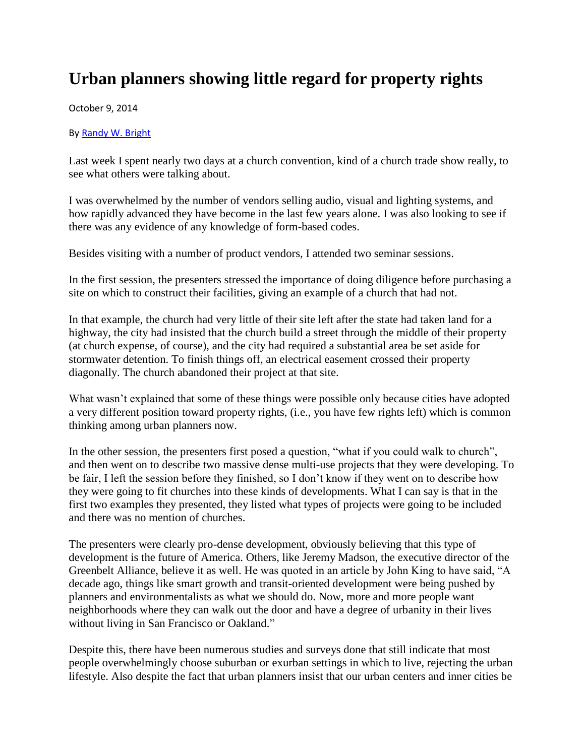## **Urban planners showing little regard for property rights**

October 9, 2014

## B[y Randy W. Bright](http://www.tulsabeacon.com/author/slug-o6yd1v)

Last week I spent nearly two days at a church convention, kind of a church trade show really, to see what others were talking about.

I was overwhelmed by the number of vendors selling audio, visual and lighting systems, and how rapidly advanced they have become in the last few years alone. I was also looking to see if there was any evidence of any knowledge of form-based codes.

Besides visiting with a number of product vendors, I attended two seminar sessions.

In the first session, the presenters stressed the importance of doing diligence before purchasing a site on which to construct their facilities, giving an example of a church that had not.

In that example, the church had very little of their site left after the state had taken land for a highway, the city had insisted that the church build a street through the middle of their property (at church expense, of course), and the city had required a substantial area be set aside for stormwater detention. To finish things off, an electrical easement crossed their property diagonally. The church abandoned their project at that site.

What wasn't explained that some of these things were possible only because cities have adopted a very different position toward property rights, (i.e., you have few rights left) which is common thinking among urban planners now.

In the other session, the presenters first posed a question, "what if you could walk to church", and then went on to describe two massive dense multi-use projects that they were developing. To be fair, I left the session before they finished, so I don't know if they went on to describe how they were going to fit churches into these kinds of developments. What I can say is that in the first two examples they presented, they listed what types of projects were going to be included and there was no mention of churches.

The presenters were clearly pro-dense development, obviously believing that this type of development is the future of America. Others, like Jeremy Madson, the executive director of the Greenbelt Alliance, believe it as well. He was quoted in an article by John King to have said, "A decade ago, things like smart growth and transit-oriented development were being pushed by planners and environmentalists as what we should do. Now, more and more people want neighborhoods where they can walk out the door and have a degree of urbanity in their lives without living in San Francisco or Oakland."

Despite this, there have been numerous studies and surveys done that still indicate that most people overwhelmingly choose suburban or exurban settings in which to live, rejecting the urban lifestyle. Also despite the fact that urban planners insist that our urban centers and inner cities be